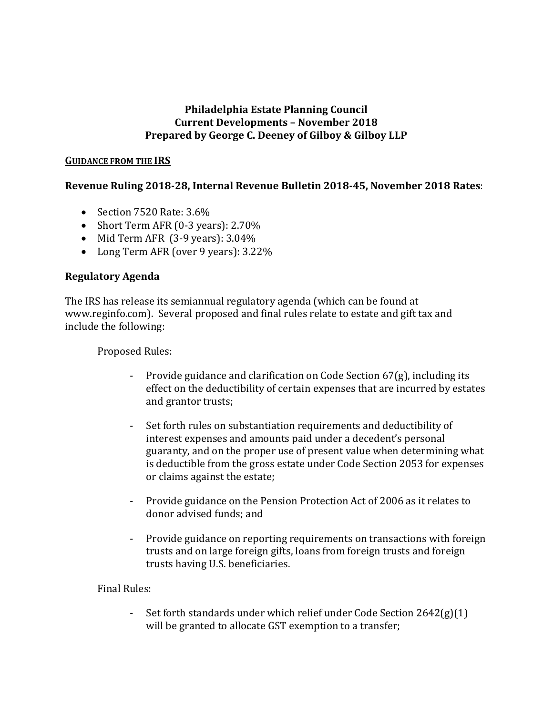### **Philadelphia Estate Planning Council Current Developments – November 2018 Prepared by George C. Deeney of Gilboy & Gilboy LLP**

#### **GUIDANCE FROM THE IRS**

# **Revenue Ruling 2018-28, Internal Revenue Bulletin 2018-45, November 2018 Rates**:

- Section 7520 Rate: 3.6%
- Short Term AFR (0-3 years): 2.70%
- Mid Term AFR (3-9 years): 3.04%
- Long Term AFR (over 9 years): 3.22%

### **Regulatory Agenda**

The IRS has release its semiannual regulatory agenda (which can be found at www.reginfo.com). Several proposed and final rules relate to estate and gift tax and include the following:

Proposed Rules:

- Provide guidance and clarification on Code Section 67(g), including its effect on the deductibility of certain expenses that are incurred by estates and grantor trusts;
- Set forth rules on substantiation requirements and deductibility of interest expenses and amounts paid under a decedent's personal guaranty, and on the proper use of present value when determining what is deductible from the gross estate under Code Section 2053 for expenses or claims against the estate;
- Provide guidance on the Pension Protection Act of 2006 as it relates to donor advised funds; and
- Provide guidance on reporting requirements on transactions with foreign trusts and on large foreign gifts, loans from foreign trusts and foreign trusts having U.S. beneficiaries.

### Final Rules:

Set forth standards under which relief under Code Section  $2642(g)(1)$ will be granted to allocate GST exemption to a transfer;